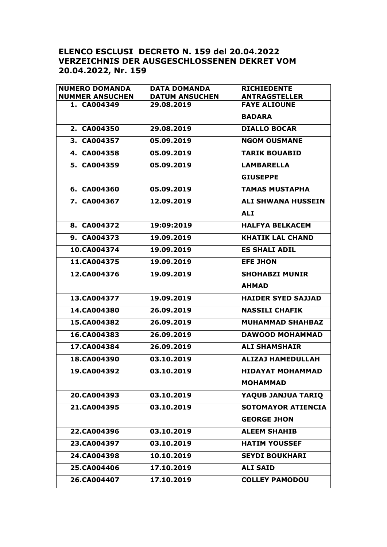## **ELENCO ESCLUSI DECRETO N. 159 del 20.04.2022 VERZEICHNIS DER AUSGESCHLOSSENEN DEKRET VOM 20.04.2022, Nr. 159**

| <b>NUMERO DOMANDA</b>  | <b>DATA DOMANDA</b>   | <b>RICHIEDENTE</b>        |
|------------------------|-----------------------|---------------------------|
| <b>NUMMER ANSUCHEN</b> | <b>DATUM ANSUCHEN</b> | <b>ANTRAGSTELLER</b>      |
| 1. CA004349            | 29.08.2019            | <b>FAYE ALIOUNE</b>       |
|                        |                       | <b>BADARA</b>             |
| 2. CA004350            | 29.08.2019            | <b>DIALLO BOCAR</b>       |
| 3. CA004357            | 05.09.2019            | <b>NGOM OUSMANE</b>       |
| 4. CA004358            | 05.09.2019            | <b>TARIK BOUABID</b>      |
| 5. CA004359            | 05.09.2019            | <b>LAMBARELLA</b>         |
|                        |                       | <b>GIUSEPPE</b>           |
| 6. CA004360            | 05.09.2019            | <b>TAMAS MUSTAPHA</b>     |
| 7. CA004367            | 12.09.2019            | <b>ALI SHWANA HUSSEIN</b> |
|                        |                       | <b>ALI</b>                |
| 8. CA004372            | 19:09:2019            | <b>HALFYA BELKACEM</b>    |
| 9. CA004373            | 19.09.2019            | <b>KHATIK LAL CHAND</b>   |
| 10.CA004374            | 19.09.2019            | <b>ES SHALI ADIL</b>      |
| 11.CA004375            | 19.09.2019            | <b>EFE JHON</b>           |
| 12.CA004376            | 19.09.2019            | <b>SHOHABZI MUNIR</b>     |
|                        |                       | <b>AHMAD</b>              |
| 13.CA004377            | 19.09.2019            | <b>HAIDER SYED SAJJAD</b> |
| 14.CA004380            | 26.09.2019            | <b>NASSILI CHAFIK</b>     |
| 15.CA004382            | 26.09.2019            | <b>MUHAMMAD SHAHBAZ</b>   |
| 16.CA004383            | 26.09.2019            | <b>DAWOOD MOHAMMAD</b>    |
| 17.CA004384            | 26.09.2019            | <b>ALI SHAMSHAIR</b>      |
| 18.CA004390            | 03.10.2019            | <b>ALIZAJ HAMEDULLAH</b>  |
| 19.CA004392            | 03.10.2019            | <b>HIDAYAT MOHAMMAD</b>   |
|                        |                       | <b>MOHAMMAD</b>           |
| 20.CA004393            | 03.10.2019            | YAQUB JANJUA TARIQ        |
| 21.CA004395            | 03.10.2019            | <b>SOTOMAYOR ATIENCIA</b> |
|                        |                       | <b>GEORGE JHON</b>        |
| 22.CA004396            | 03.10.2019            | <b>ALEEM SHAHIB</b>       |
| 23.CA004397            | 03.10.2019            | <b>HATIM YOUSSEF</b>      |
| 24.CA004398            | 10.10.2019            | <b>SEYDI BOUKHARI</b>     |
| 25.CA004406            | 17.10.2019            | <b>ALI SAID</b>           |
| 26.CA004407            | 17.10.2019            | <b>COLLEY PAMODOU</b>     |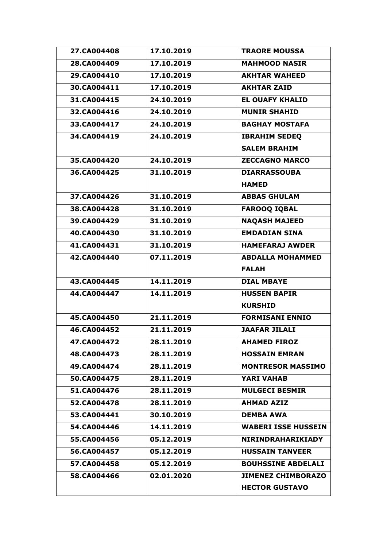| 27.CA004408 | 17.10.2019 | <b>TRAORE MOUSSA</b>       |
|-------------|------------|----------------------------|
| 28.CA004409 | 17.10.2019 | <b>MAHMOOD NASIR</b>       |
| 29.CA004410 | 17.10.2019 | <b>AKHTAR WAHEED</b>       |
| 30.CA004411 | 17.10.2019 | <b>AKHTAR ZAID</b>         |
| 31.CA004415 | 24.10.2019 | <b>EL OUAFY KHALID</b>     |
| 32.CA004416 | 24.10.2019 | <b>MUNIR SHAHID</b>        |
| 33.CA004417 | 24.10.2019 | <b>BAGHAY MOSTAFA</b>      |
| 34.CA004419 | 24.10.2019 | <b>IBRAHIM SEDEQ</b>       |
|             |            | <b>SALEM BRAHIM</b>        |
| 35.CA004420 | 24.10.2019 | <b>ZECCAGNO MARCO</b>      |
| 36.CA004425 | 31.10.2019 | <b>DIARRASSOUBA</b>        |
|             |            | <b>HAMED</b>               |
| 37.CA004426 | 31.10.2019 | <b>ABBAS GHULAM</b>        |
| 38.CA004428 | 31.10.2019 | <b>FAROOQ IQBAL</b>        |
| 39.CA004429 | 31.10.2019 | <b>NAQASH MAJEED</b>       |
| 40.CA004430 | 31.10.2019 | <b>EMDADIAN SINA</b>       |
| 41.CA004431 | 31.10.2019 | <b>HAMEFARAJ AWDER</b>     |
| 42.CA004440 | 07.11.2019 | <b>ABDALLA MOHAMMED</b>    |
|             |            | <b>FALAH</b>               |
| 43.CA004445 | 14.11.2019 | <b>DIAL MBAYE</b>          |
| 44.CA004447 | 14.11.2019 | <b>HUSSEN BAPIR</b>        |
|             |            | <b>KURSHID</b>             |
| 45.CA004450 | 21.11.2019 | <b>FORMISANI ENNIO</b>     |
| 46.CA004452 | 21.11.2019 | <b>JAAFAR JILALI</b>       |
| 47.CA004472 | 28.11.2019 | <b>AHAMED FIROZ</b>        |
| 48.CA004473 | 28.11.2019 | <b>HOSSAIN EMRAN</b>       |
| 49.CA004474 | 28.11.2019 | <b>MONTRESOR MASSIMO</b>   |
| 50.CA004475 | 28.11.2019 | <b>YARI VAHAB</b>          |
| 51.CA004476 | 28.11.2019 | <b>MULGECI BESMIR</b>      |
| 52.CA004478 | 28.11.2019 | <b>AHMAD AZIZ</b>          |
| 53.CA004441 | 30.10.2019 | <b>DEMBA AWA</b>           |
| 54.CA004446 | 14.11.2019 | <b>WABERI ISSE HUSSEIN</b> |
| 55.CA004456 | 05.12.2019 | NIRINDRAHARIKIADY          |
| 56.CA004457 | 05.12.2019 | <b>HUSSAIN TANVEER</b>     |
| 57.CA004458 | 05.12.2019 | <b>BOUHSSINE ABDELALI</b>  |
| 58.CA004466 | 02.01.2020 | <b>JIMENEZ CHIMBORAZO</b>  |
|             |            | <b>HECTOR GUSTAVO</b>      |